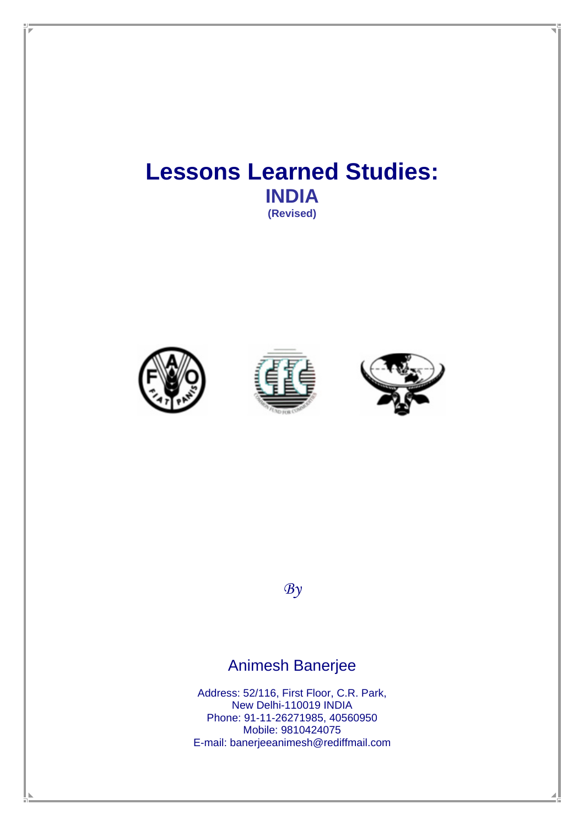# **Lessons Learned Studies: INDIA (Revised)**







 $\mathcal{B}y$ 

# Animesh Banerjee

Address: 52/116, First Floor, C.R. Park, New Delhi-110019 INDIA Phone: 91-11-26271985, 40560950 Mobile: 9810424075 E-mail: banerjeeanimesh@rediffmail.com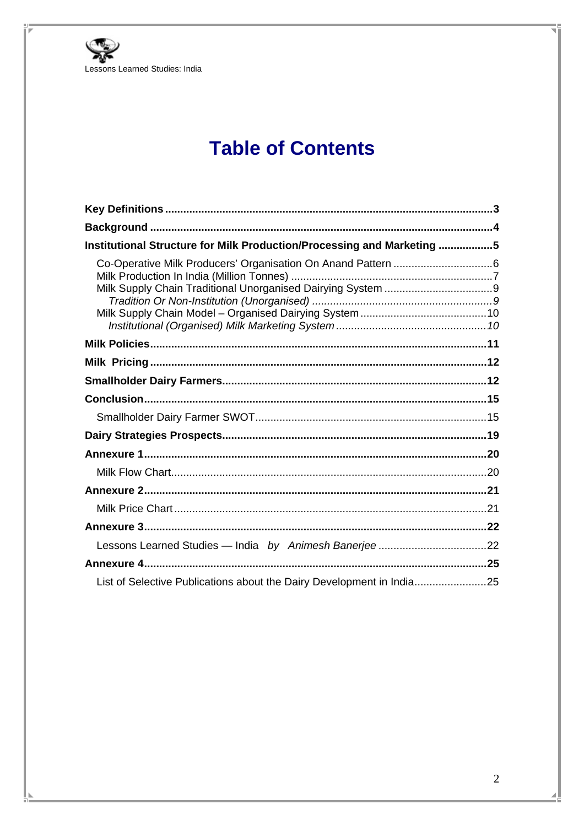

# **Table of Contents**

| Institutional Structure for Milk Production/Processing and Marketing 5 |  |
|------------------------------------------------------------------------|--|
|                                                                        |  |
|                                                                        |  |
|                                                                        |  |
|                                                                        |  |
|                                                                        |  |
|                                                                        |  |
|                                                                        |  |
|                                                                        |  |
|                                                                        |  |
|                                                                        |  |
|                                                                        |  |
|                                                                        |  |
|                                                                        |  |
|                                                                        |  |
|                                                                        |  |
|                                                                        |  |
| List of Selective Publications about the Dairy Development in India25  |  |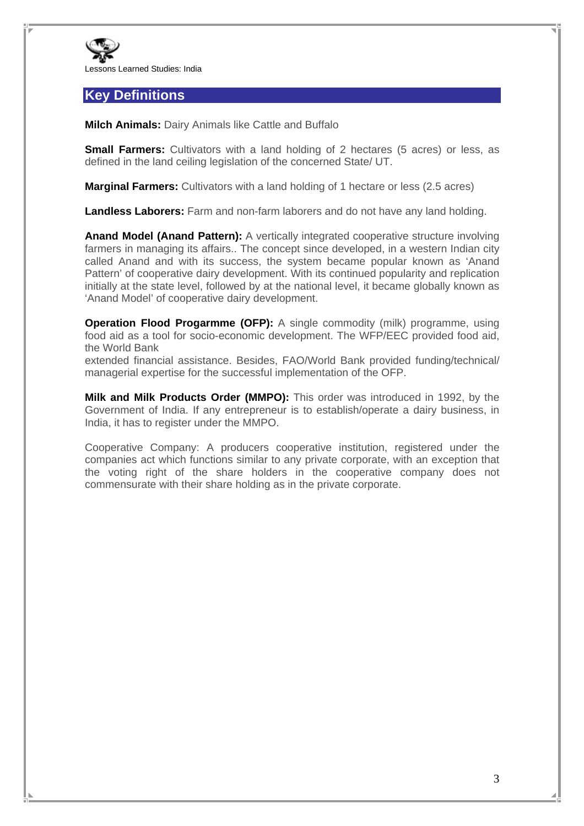

## **Key Definitions**

**Milch Animals:** Dairy Animals like Cattle and Buffalo

**Small Farmers:** Cultivators with a land holding of 2 hectares (5 acres) or less, as defined in the land ceiling legislation of the concerned State/ UT.

**Marginal Farmers:** Cultivators with a land holding of 1 hectare or less (2.5 acres)

**Landless Laborers:** Farm and non-farm laborers and do not have any land holding.

**Anand Model (Anand Pattern):** A vertically integrated cooperative structure involving farmers in managing its affairs.. The concept since developed, in a western Indian city called Anand and with its success, the system became popular known as 'Anand Pattern' of cooperative dairy development. With its continued popularity and replication initially at the state level, followed by at the national level, it became globally known as 'Anand Model' of cooperative dairy development.

**Operation Flood Progarmme (OFP):** A single commodity (milk) programme, using food aid as a tool for socio-economic development. The WFP/EEC provided food aid, the World Bank

extended financial assistance. Besides, FAO/World Bank provided funding/technical/ managerial expertise for the successful implementation of the OFP.

**Milk and Milk Products Order (MMPO):** This order was introduced in 1992, by the Government of India. If any entrepreneur is to establish/operate a dairy business, in India, it has to register under the MMPO.

Cooperative Company: A producers cooperative institution, registered under the companies act which functions similar to any private corporate, with an exception that the voting right of the share holders in the cooperative company does not commensurate with their share holding as in the private corporate.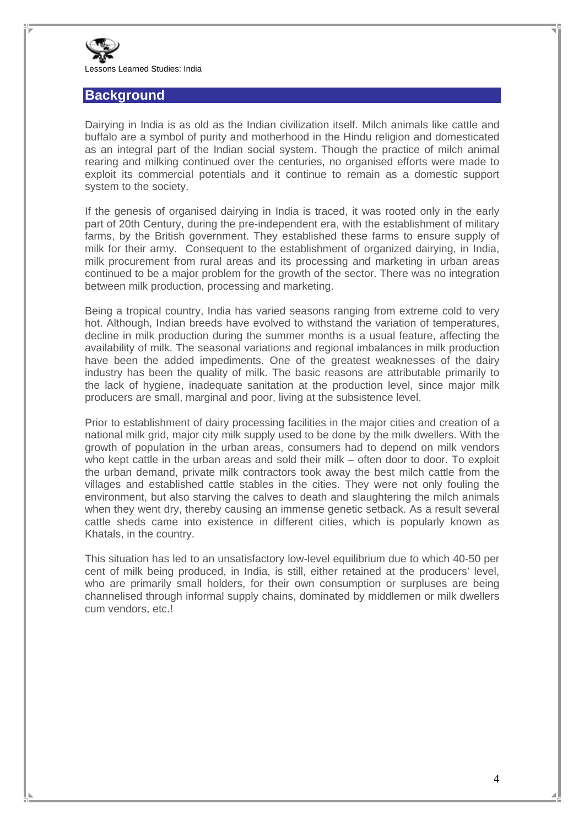

#### **Background**

Dairying in India is as old as the Indian civilization itself. Milch animals like cattle and buffalo are a symbol of purity and motherhood in the Hindu religion and domesticated as an integral part of the Indian social system. Though the practice of milch animal rearing and milking continued over the centuries, no organised efforts were made to exploit its commercial potentials and it continue to remain as a domestic support system to the society.

If the genesis of organised dairying in India is traced, it was rooted only in the early part of 20th Century, during the pre-independent era, with the establishment of military farms, by the British government. They established these farms to ensure supply of milk for their army. Consequent to the establishment of organized dairying, in India, milk procurement from rural areas and its processing and marketing in urban areas continued to be a major problem for the growth of the sector. There was no integration between milk production, processing and marketing.

Being a tropical country, India has varied seasons ranging from extreme cold to very hot. Although, Indian breeds have evolved to withstand the variation of temperatures, decline in milk production during the summer months is a usual feature, affecting the availability of milk. The seasonal variations and regional imbalances in milk production have been the added impediments. One of the greatest weaknesses of the dairy industry has been the quality of milk. The basic reasons are attributable primarily to the lack of hygiene, inadequate sanitation at the production level, since major milk producers are small, marginal and poor, living at the subsistence level.

Prior to establishment of dairy processing facilities in the major cities and creation of a national milk grid, major city milk supply used to be done by the milk dwellers. With the growth of population in the urban areas, consumers had to depend on milk vendors who kept cattle in the urban areas and sold their milk – often door to door. To exploit the urban demand, private milk contractors took away the best milch cattle from the villages and established cattle stables in the cities. They were not only fouling the environment, but also starving the calves to death and slaughtering the milch animals when they went dry, thereby causing an immense genetic setback. As a result several cattle sheds came into existence in different cities, which is popularly known as Khatals, in the country.

This situation has led to an unsatisfactory low-level equilibrium due to which 40-50 per cent of milk being produced, in India, is still, either retained at the producers' level, who are primarily small holders, for their own consumption or surpluses are being channelised through informal supply chains, dominated by middlemen or milk dwellers cum vendors, etc.!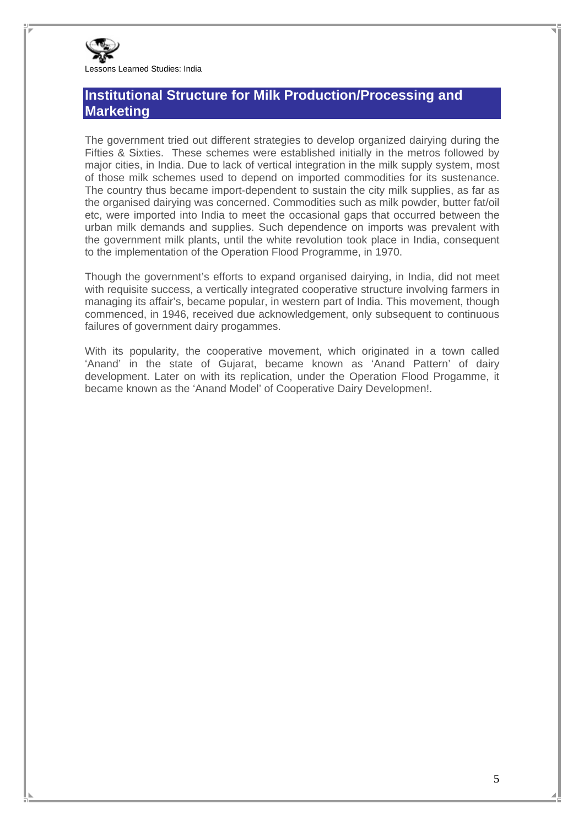

## **Institutional Structure for Milk Production/Processing and Marketing**

The government tried out different strategies to develop organized dairying during the Fifties & Sixties. These schemes were established initially in the metros followed by major cities, in India. Due to lack of vertical integration in the milk supply system, most of those milk schemes used to depend on imported commodities for its sustenance. The country thus became import-dependent to sustain the city milk supplies, as far as the organised dairying was concerned. Commodities such as milk powder, butter fat/oil etc, were imported into India to meet the occasional gaps that occurred between the urban milk demands and supplies. Such dependence on imports was prevalent with the government milk plants, until the white revolution took place in India, consequent to the implementation of the Operation Flood Programme, in 1970.

Though the government's efforts to expand organised dairying, in India, did not meet with requisite success, a vertically integrated cooperative structure involving farmers in managing its affair's, became popular, in western part of India. This movement, though commenced, in 1946, received due acknowledgement, only subsequent to continuous failures of government dairy progammes.

With its popularity, the cooperative movement, which originated in a town called 'Anand' in the state of Gujarat, became known as 'Anand Pattern' of dairy development. Later on with its replication, under the Operation Flood Progamme, it became known as the 'Anand Model' of Cooperative Dairy Developmen!.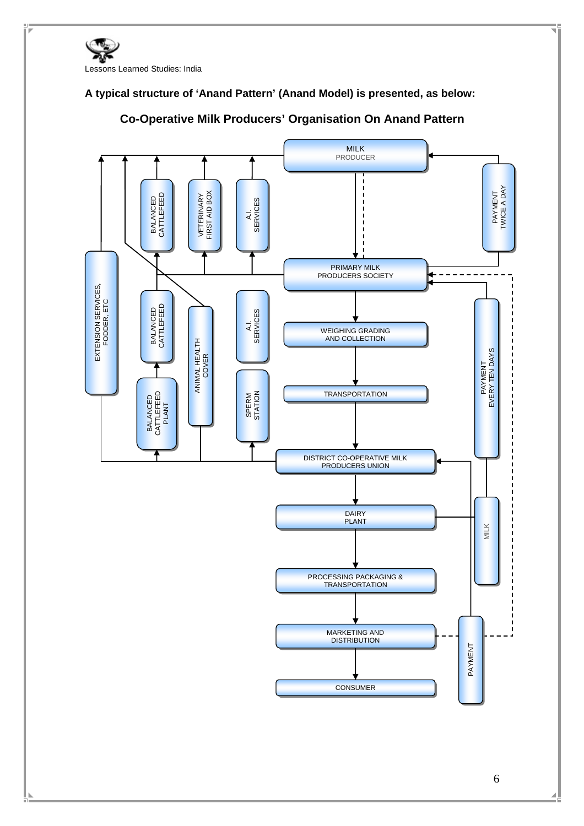

#### **A typical structure of 'Anand Pattern' (Anand Model) is presented, as below:**



#### **Co-Operative Milk Producers' Organisation On Anand Pattern**

6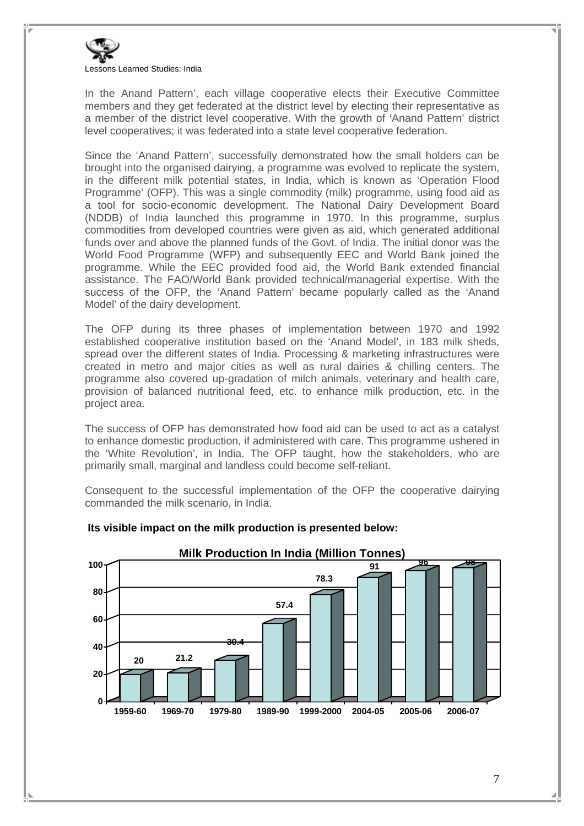

In the Anand Pattern', each village cooperative elects their Executive Committee members and they get federated at the district level by electing their representative as a member of the district level cooperative. With the growth of 'Anand Pattern' district level cooperatives; it was federated into a state level cooperative federation.

Since the 'Anand Pattern', successfully demonstrated how the small holders can be brought into the organised dairying, a programme was evolved to replicate the system, in the different milk potential states, in India, which is known as 'Operation Flood Programme' (OFP). This was a single commodity (milk) programme, using food aid as a tool for socio-economic development. The National Dairy Development Board (NDDB) of India launched this programme in 1970. In this programme, surplus commodities from developed countries were given as aid, which generated additional funds over and above the planned funds of the Govt. of India. The initial donor was the World Food Programme (WFP) and subsequently EEC and World Bank joined the programme. While the EEC provided food aid, the World Bank extended financial assistance. The FAO/World Bank provided technical/managerial expertise. With the success of the OFP, the 'Anand Pattern' became popularly called as the 'Anand Model' of the dairy development.

The OFP during its three phases of implementation between 1970 and 1992 established cooperative institution based on the 'Anand Model', in 183 milk sheds, spread over the different states of India. Processing & marketing infrastructures were created in metro and major cities as well as rural dairies & chilling centers. The programme also covered up-gradation of milch animals, veterinary and health care, provision of balanced nutritional feed, etc. to enhance milk production, etc. in the project area.

The success of OFP has demonstrated how food aid can be used to act as a catalyst to enhance domestic production, if administered with care. This programme ushered in the 'White Revolution', in India. The OFP taught, how the stakeholders, who are primarily small, marginal and landless could become self-reliant.

Consequent to the successful implementation of the OFP the cooperative dairying commanded the milk scenario, in India.



#### **Its visible impact on the milk production is presented below:**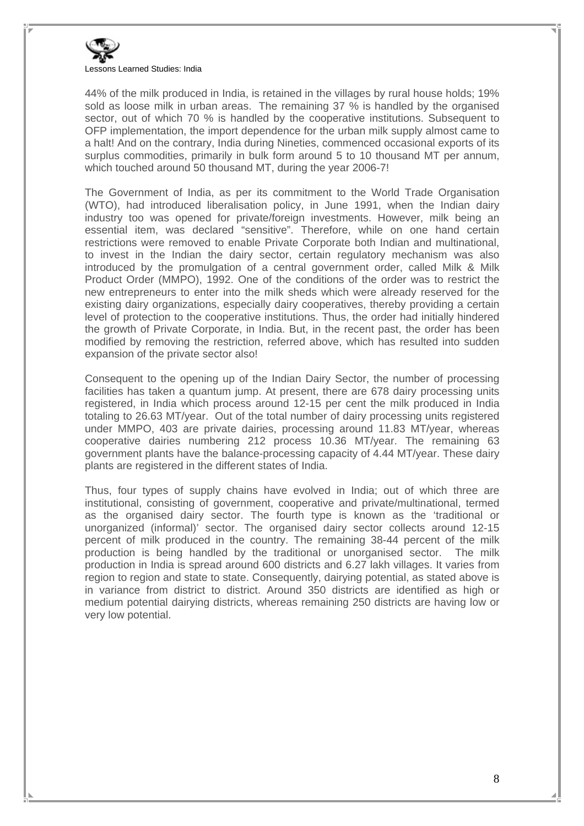

44% of the milk produced in India, is retained in the villages by rural house holds; 19% sold as loose milk in urban areas. The remaining 37 % is handled by the organised sector, out of which 70 % is handled by the cooperative institutions. Subsequent to OFP implementation, the import dependence for the urban milk supply almost came to a halt! And on the contrary, India during Nineties, commenced occasional exports of its surplus commodities, primarily in bulk form around 5 to 10 thousand MT per annum, which touched around 50 thousand MT, during the year 2006-7!

The Government of India, as per its commitment to the World Trade Organisation (WTO), had introduced liberalisation policy, in June 1991, when the Indian dairy industry too was opened for private/foreign investments. However, milk being an essential item, was declared "sensitive". Therefore, while on one hand certain restrictions were removed to enable Private Corporate both Indian and multinational, to invest in the Indian the dairy sector, certain regulatory mechanism was also introduced by the promulgation of a central government order, called Milk & Milk Product Order (MMPO), 1992. One of the conditions of the order was to restrict the new entrepreneurs to enter into the milk sheds which were already reserved for the existing dairy organizations, especially dairy cooperatives, thereby providing a certain level of protection to the cooperative institutions. Thus, the order had initially hindered the growth of Private Corporate, in India. But, in the recent past, the order has been modified by removing the restriction, referred above, which has resulted into sudden expansion of the private sector also!

Consequent to the opening up of the Indian Dairy Sector, the number of processing facilities has taken a quantum jump. At present, there are 678 dairy processing units registered, in India which process around 12-15 per cent the milk produced in India totaling to 26.63 MT/year. Out of the total number of dairy processing units registered under MMPO, 403 are private dairies, processing around 11.83 MT/year, whereas cooperative dairies numbering 212 process 10.36 MT/year. The remaining 63 government plants have the balance-processing capacity of 4.44 MT/year. These dairy plants are registered in the different states of India.

Thus, four types of supply chains have evolved in India; out of which three are institutional, consisting of government, cooperative and private/multinational, termed as the organised dairy sector. The fourth type is known as the 'traditional or unorganized (informal)' sector. The organised dairy sector collects around 12-15 percent of milk produced in the country. The remaining 38-44 percent of the milk production is being handled by the traditional or unorganised sector. The milk production in India is spread around 600 districts and 6.27 lakh villages. It varies from region to region and state to state. Consequently, dairying potential, as stated above is in variance from district to district. Around 350 districts are identified as high or medium potential dairying districts, whereas remaining 250 districts are having low or very low potential.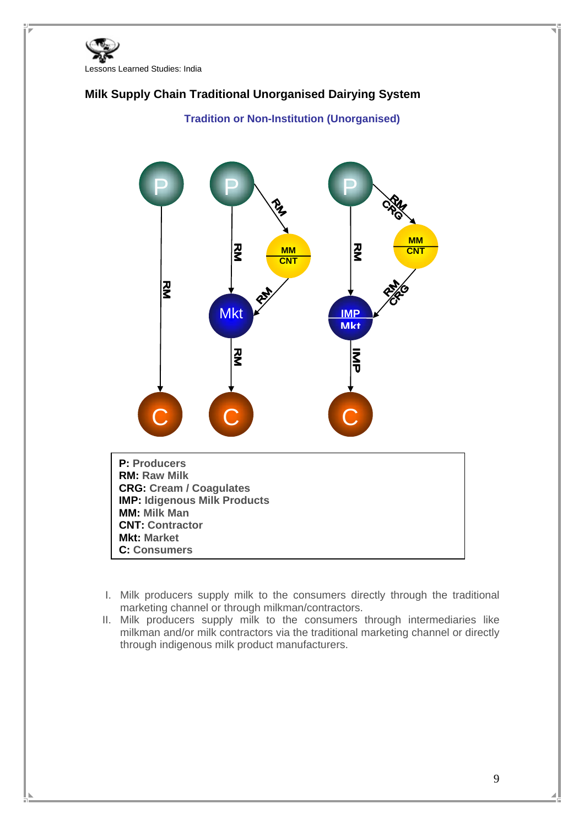



- I. Milk producers supply milk to the consumers directly through the traditional marketing channel or through milkman/contractors.
- II. Milk producers supply milk to the consumers through intermediaries like milkman and/or milk contractors via the traditional marketing channel or directly through indigenous milk product manufacturers.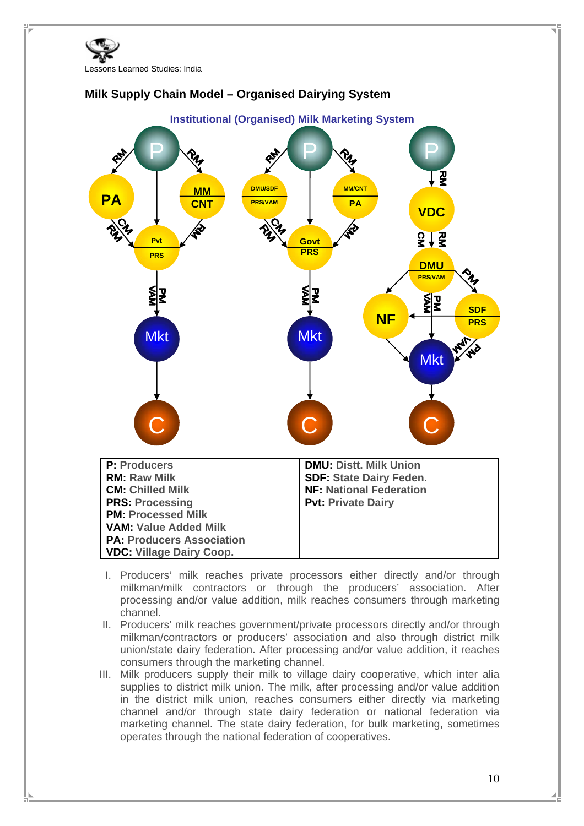





- I. Producers' milk reaches private processors either directly and/or through milkman/milk contractors or through the producers' association. After processing and/or value addition, milk reaches consumers through marketing channel.
- II. Producers' milk reaches government/private processors directly and/or through milkman/contractors or producers' association and also through district milk union/state dairy federation. After processing and/or value addition, it reaches consumers through the marketing channel.
- III. Milk producers supply their milk to village dairy cooperative, which inter alia supplies to district milk union. The milk, after processing and/or value addition in the district milk union, reaches consumers either directly via marketing channel and/or through state dairy federation or national federation via marketing channel. The state dairy federation, for bulk marketing, sometimes operates through the national federation of cooperatives.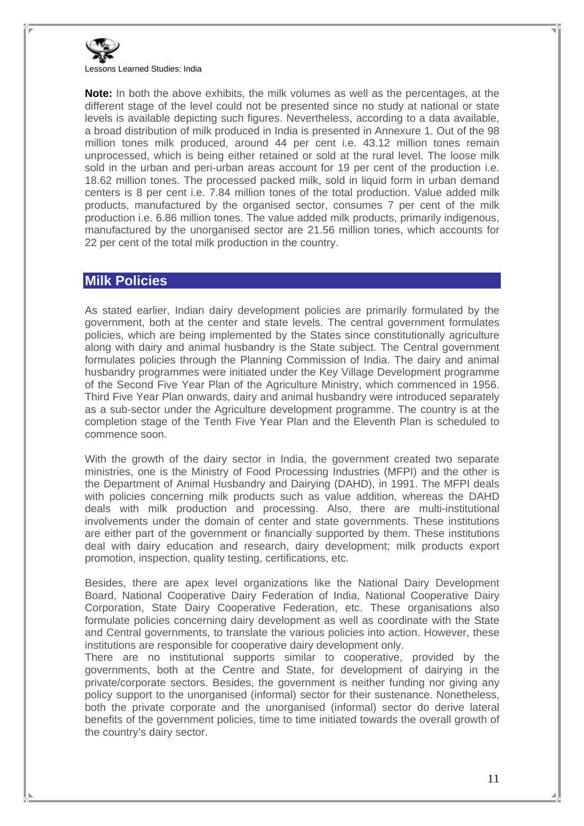

**Note:** In both the above exhibits, the milk volumes as well as the percentages, at the different stage of the level could not be presented since no study at national or state levels is available depicting such figures. Nevertheless, according to a data available, a broad distribution of milk produced in India is presented in Annexure 1. Out of the 98 million tones milk produced, around 44 per cent i.e. 43.12 million tones remain unprocessed, which is being either retained or sold at the rural level. The loose milk sold in the urban and peri-urban areas account for 19 per cent of the production i.e. 18.62 million tones. The processed packed milk, sold in liquid form in urban demand centers is 8 per cent i.e. 7.84 million tones of the total production. Value added milk products, manufactured by the organised sector, consumes 7 per cent of the milk production i.e. 6.86 million tones. The value added milk products, primarily indigenous, manufactured by the unorganised sector are 21.56 million tones, which accounts for 22 per cent of the total milk production in the country.

#### **Milk Policies**

As stated earlier, Indian dairy development policies are primarily formulated by the government, both at the center and state levels. The central government formulates policies, which are being implemented by the States since constitutionally agriculture along with dairy and animal husbandry is the State subject. The Central government formulates policies through the Planning Commission of India. The dairy and animal husbandry programmes were initiated under the Key Village Development programme of the Second Five Year Plan of the Agriculture Ministry, which commenced in 1956. Third Five Year Plan onwards, dairy and animal husbandry were introduced separately as a sub-sector under the Agriculture development programme. The country is at the completion stage of the Tenth Five Year Plan and the Eleventh Plan is scheduled to commence soon.

With the growth of the dairy sector in India, the government created two separate ministries, one is the Ministry of Food Processing Industries (MFPI) and the other is the Department of Animal Husbandry and Dairying (DAHD), in 1991. The MFPI deals with policies concerning milk products such as value addition, whereas the DAHD deals with milk production and processing. Also, there are multi-institutional involvements under the domain of center and state governments. These institutions are either part of the government or financially supported by them. These institutions deal with dairy education and research, dairy development; milk products export promotion, inspection, quality testing, certifications, etc.

Besides, there are apex level organizations like the National Dairy Development Board, National Cooperative Dairy Federation of India, National Cooperative Dairy Corporation, State Dairy Cooperative Federation, etc. These organisations also formulate policies concerning dairy development as well as coordinate with the State and Central governments, to translate the various policies into action. However, these institutions are responsible for cooperative dairy development only.

There are no institutional supports similar to cooperative, provided by the governments, both at the Centre and State, for development of dairying in the private/corporate sectors. Besides, the government is neither funding nor giving any policy support to the unorganised (informal) sector for their sustenance. Nonetheless, both the private corporate and the unorganised (informal) sector do derive lateral benefits of the government policies, time to time initiated towards the overall growth of the country's dairy sector.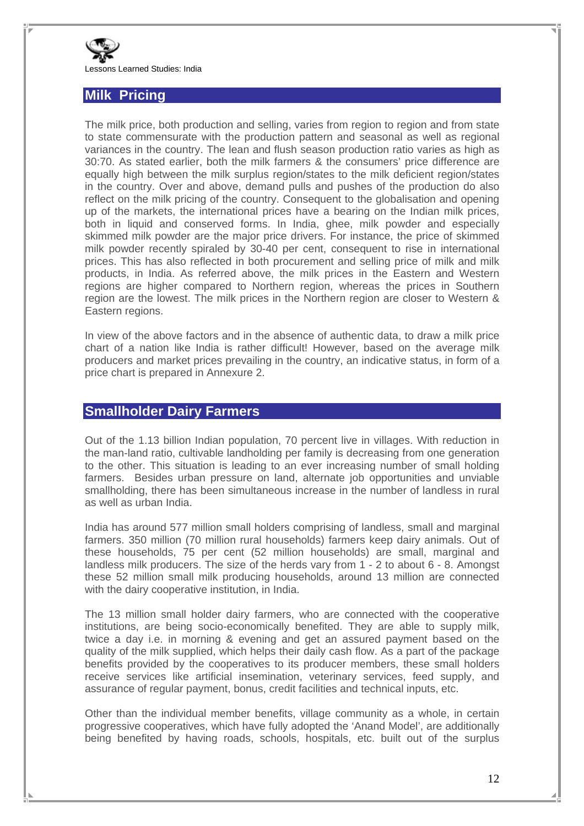

#### **Milk Pricing**

The milk price, both production and selling, varies from region to region and from state to state commensurate with the production pattern and seasonal as well as regional variances in the country. The lean and flush season production ratio varies as high as 30:70. As stated earlier, both the milk farmers & the consumers' price difference are equally high between the milk surplus region/states to the milk deficient region/states in the country. Over and above, demand pulls and pushes of the production do also reflect on the milk pricing of the country. Consequent to the globalisation and opening up of the markets, the international prices have a bearing on the Indian milk prices, both in liquid and conserved forms. In India, ghee, milk powder and especially skimmed milk powder are the major price drivers. For instance, the price of skimmed milk powder recently spiraled by 30-40 per cent, consequent to rise in international prices. This has also reflected in both procurement and selling price of milk and milk products, in India. As referred above, the milk prices in the Eastern and Western regions are higher compared to Northern region, whereas the prices in Southern region are the lowest. The milk prices in the Northern region are closer to Western & Eastern regions.

In view of the above factors and in the absence of authentic data, to draw a milk price chart of a nation like India is rather difficult! However, based on the average milk producers and market prices prevailing in the country, an indicative status, in form of a price chart is prepared in Annexure 2.

#### **Smallholder Dairy Farmers**

Out of the 1.13 billion Indian population, 70 percent live in villages. With reduction in the man-land ratio, cultivable landholding per family is decreasing from one generation to the other. This situation is leading to an ever increasing number of small holding farmers. Besides urban pressure on land, alternate job opportunities and unviable smallholding, there has been simultaneous increase in the number of landless in rural as well as urban India.

India has around 577 million small holders comprising of landless, small and marginal farmers. 350 million (70 million rural households) farmers keep dairy animals. Out of these households, 75 per cent (52 million households) are small, marginal and landless milk producers. The size of the herds vary from 1 - 2 to about 6 - 8. Amongst these 52 million small milk producing households, around 13 million are connected with the dairy cooperative institution, in India.

The 13 million small holder dairy farmers, who are connected with the cooperative institutions, are being socio-economically benefited. They are able to supply milk, twice a day i.e. in morning & evening and get an assured payment based on the quality of the milk supplied, which helps their daily cash flow. As a part of the package benefits provided by the cooperatives to its producer members, these small holders receive services like artificial insemination, veterinary services, feed supply, and assurance of regular payment, bonus, credit facilities and technical inputs, etc.

Other than the individual member benefits, village community as a whole, in certain progressive cooperatives, which have fully adopted the 'Anand Model', are additionally being benefited by having roads, schools, hospitals, etc. built out of the surplus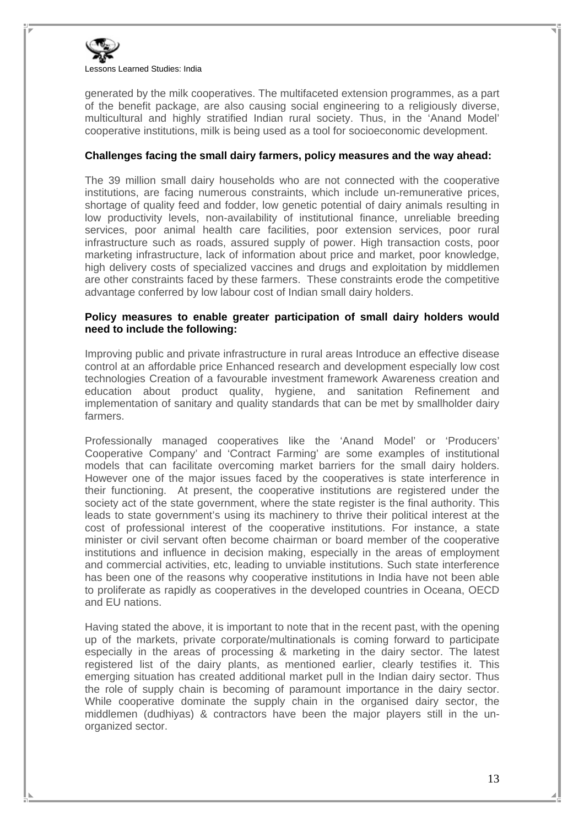

generated by the milk cooperatives. The multifaceted extension programmes, as a part of the benefit package, are also causing social engineering to a religiously diverse, multicultural and highly stratified Indian rural society. Thus, in the 'Anand Model' cooperative institutions, milk is being used as a tool for socioeconomic development.

#### **Challenges facing the small dairy farmers, policy measures and the way ahead:**

The 39 million small dairy households who are not connected with the cooperative institutions, are facing numerous constraints, which include un-remunerative prices, shortage of quality feed and fodder, low genetic potential of dairy animals resulting in low productivity levels, non-availability of institutional finance, unreliable breeding services, poor animal health care facilities, poor extension services, poor rural infrastructure such as roads, assured supply of power. High transaction costs, poor marketing infrastructure, lack of information about price and market, poor knowledge, high delivery costs of specialized vaccines and drugs and exploitation by middlemen are other constraints faced by these farmers. These constraints erode the competitive advantage conferred by low labour cost of Indian small dairy holders.

#### **Policy measures to enable greater participation of small dairy holders would need to include the following:**

Improving public and private infrastructure in rural areas Introduce an effective disease control at an affordable price Enhanced research and development especially low cost technologies Creation of a favourable investment framework Awareness creation and education about product quality, hygiene, and sanitation Refinement and implementation of sanitary and quality standards that can be met by smallholder dairy farmers.

Professionally managed cooperatives like the 'Anand Model' or 'Producers' Cooperative Company' and 'Contract Farming' are some examples of institutional models that can facilitate overcoming market barriers for the small dairy holders. However one of the major issues faced by the cooperatives is state interference in their functioning. At present, the cooperative institutions are registered under the society act of the state government, where the state register is the final authority. This leads to state government's using its machinery to thrive their political interest at the cost of professional interest of the cooperative institutions. For instance, a state minister or civil servant often become chairman or board member of the cooperative institutions and influence in decision making, especially in the areas of employment and commercial activities, etc, leading to unviable institutions. Such state interference has been one of the reasons why cooperative institutions in India have not been able to proliferate as rapidly as cooperatives in the developed countries in Oceana, OECD and EU nations.

Having stated the above, it is important to note that in the recent past, with the opening up of the markets, private corporate/multinationals is coming forward to participate especially in the areas of processing & marketing in the dairy sector. The latest registered list of the dairy plants, as mentioned earlier, clearly testifies it. This emerging situation has created additional market pull in the Indian dairy sector. Thus the role of supply chain is becoming of paramount importance in the dairy sector. While cooperative dominate the supply chain in the organised dairy sector, the middlemen (dudhiyas) & contractors have been the major players still in the unorganized sector.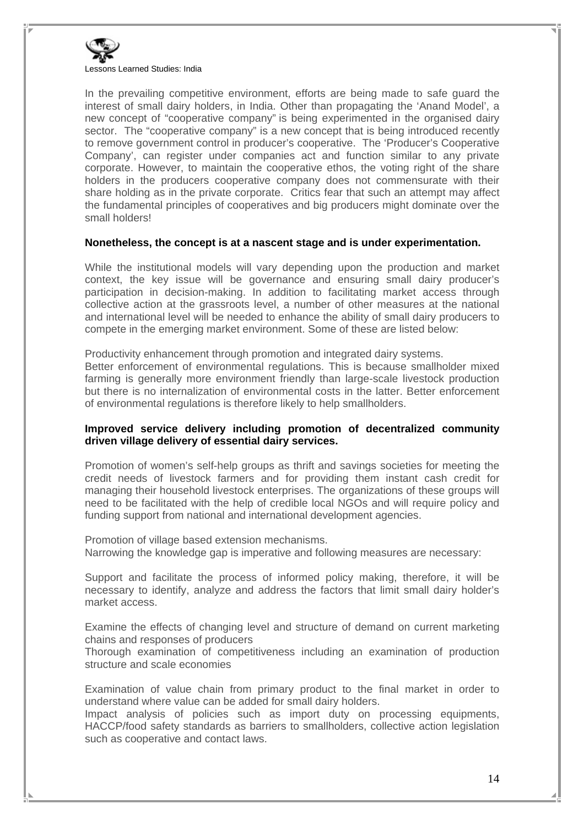

In the prevailing competitive environment, efforts are being made to safe guard the interest of small dairy holders, in India. Other than propagating the 'Anand Model', a new concept of "cooperative company" is being experimented in the organised dairy sector. The "cooperative company" is a new concept that is being introduced recently to remove government control in producer's cooperative. The 'Producer's Cooperative Company', can register under companies act and function similar to any private corporate. However, to maintain the cooperative ethos, the voting right of the share holders in the producers cooperative company does not commensurate with their share holding as in the private corporate. Critics fear that such an attempt may affect the fundamental principles of cooperatives and big producers might dominate over the small holders!

#### **Nonetheless, the concept is at a nascent stage and is under experimentation.**

While the institutional models will vary depending upon the production and market context, the key issue will be governance and ensuring small dairy producer's participation in decision-making. In addition to facilitating market access through collective action at the grassroots level, a number of other measures at the national and international level will be needed to enhance the ability of small dairy producers to compete in the emerging market environment. Some of these are listed below:

Productivity enhancement through promotion and integrated dairy systems.

Better enforcement of environmental regulations. This is because smallholder mixed farming is generally more environment friendly than large-scale livestock production but there is no internalization of environmental costs in the latter. Better enforcement of environmental regulations is therefore likely to help smallholders.

#### **Improved service delivery including promotion of decentralized community driven village delivery of essential dairy services.**

Promotion of women's self-help groups as thrift and savings societies for meeting the credit needs of livestock farmers and for providing them instant cash credit for managing their household livestock enterprises. The organizations of these groups will need to be facilitated with the help of credible local NGOs and will require policy and funding support from national and international development agencies.

Promotion of village based extension mechanisms. Narrowing the knowledge gap is imperative and following measures are necessary:

Support and facilitate the process of informed policy making, therefore, it will be necessary to identify, analyze and address the factors that limit small dairy holder's market access.

Examine the effects of changing level and structure of demand on current marketing chains and responses of producers

Thorough examination of competitiveness including an examination of production structure and scale economies

Examination of value chain from primary product to the final market in order to understand where value can be added for small dairy holders.

Impact analysis of policies such as import duty on processing equipments, HACCP/food safety standards as barriers to smallholders, collective action legislation such as cooperative and contact laws.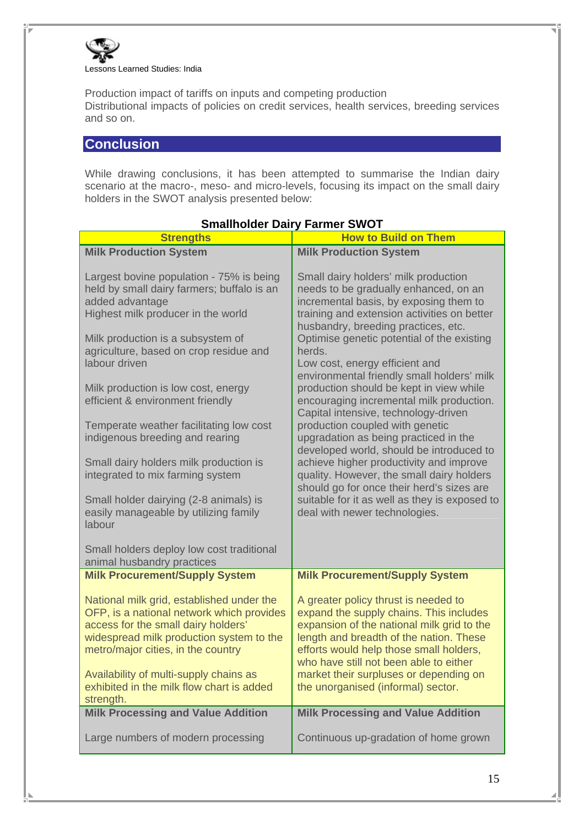

Production impact of tariffs on inputs and competing production Distributional impacts of policies on credit services, health services, breeding services and so on.

### **Conclusion**

While drawing conclusions, it has been attempted to summarise the Indian dairy scenario at the macro-, meso- and micro-levels, focusing its impact on the small dairy holders in the SWOT analysis presented below:

| <b>Strengths</b>                                                                                                                                                                                                                                                                                                                                                                                                                                                                                                                                                                    | $1$ annon virvi<br><b>How to Build on Them</b>                                                                                                                                                                                                                                                                                                                                                                                                                                                                                                                                                                                                                                                                                                                                                                                      |
|-------------------------------------------------------------------------------------------------------------------------------------------------------------------------------------------------------------------------------------------------------------------------------------------------------------------------------------------------------------------------------------------------------------------------------------------------------------------------------------------------------------------------------------------------------------------------------------|-------------------------------------------------------------------------------------------------------------------------------------------------------------------------------------------------------------------------------------------------------------------------------------------------------------------------------------------------------------------------------------------------------------------------------------------------------------------------------------------------------------------------------------------------------------------------------------------------------------------------------------------------------------------------------------------------------------------------------------------------------------------------------------------------------------------------------------|
| <b>Milk Production System</b>                                                                                                                                                                                                                                                                                                                                                                                                                                                                                                                                                       | <b>Milk Production System</b>                                                                                                                                                                                                                                                                                                                                                                                                                                                                                                                                                                                                                                                                                                                                                                                                       |
| Largest bovine population - 75% is being<br>held by small dairy farmers; buffalo is an<br>added advantage<br>Highest milk producer in the world<br>Milk production is a subsystem of<br>agriculture, based on crop residue and<br>labour driven<br>Milk production is low cost, energy<br>efficient & environment friendly<br>Temperate weather facilitating low cost<br>indigenous breeding and rearing<br>Small dairy holders milk production is<br>integrated to mix farming system<br>Small holder dairying (2-8 animals) is<br>easily manageable by utilizing family<br>labour | Small dairy holders' milk production<br>needs to be gradually enhanced, on an<br>incremental basis, by exposing them to<br>training and extension activities on better<br>husbandry, breeding practices, etc.<br>Optimise genetic potential of the existing<br>herds.<br>Low cost, energy efficient and<br>environmental friendly small holders' milk<br>production should be kept in view while<br>encouraging incremental milk production.<br>Capital intensive, technology-driven<br>production coupled with genetic<br>upgradation as being practiced in the<br>developed world, should be introduced to<br>achieve higher productivity and improve<br>quality. However, the small dairy holders<br>should go for once their herd's sizes are<br>suitable for it as well as they is exposed to<br>deal with newer technologies. |
| Small holders deploy low cost traditional<br>animal husbandry practices                                                                                                                                                                                                                                                                                                                                                                                                                                                                                                             |                                                                                                                                                                                                                                                                                                                                                                                                                                                                                                                                                                                                                                                                                                                                                                                                                                     |
| <b>Milk Procurement/Supply System</b>                                                                                                                                                                                                                                                                                                                                                                                                                                                                                                                                               | <b>Milk Procurement/Supply System</b>                                                                                                                                                                                                                                                                                                                                                                                                                                                                                                                                                                                                                                                                                                                                                                                               |
| National milk grid, established under the<br>OFP, is a national network which provides<br>access for the small dairy holders'<br>widespread milk production system to the<br>metro/major cities, in the country<br>Availability of multi-supply chains as<br>exhibited in the milk flow chart is added<br>strength.                                                                                                                                                                                                                                                                 | A greater policy thrust is needed to<br>expand the supply chains. This includes<br>expansion of the national milk grid to the<br>length and breadth of the nation. These<br>efforts would help those small holders,<br>who have still not been able to either<br>market their surpluses or depending on<br>the unorganised (informal) sector.                                                                                                                                                                                                                                                                                                                                                                                                                                                                                       |
| <b>Milk Processing and Value Addition</b>                                                                                                                                                                                                                                                                                                                                                                                                                                                                                                                                           | <b>Milk Processing and Value Addition</b>                                                                                                                                                                                                                                                                                                                                                                                                                                                                                                                                                                                                                                                                                                                                                                                           |
| Large numbers of modern processing                                                                                                                                                                                                                                                                                                                                                                                                                                                                                                                                                  | Continuous up-gradation of home grown                                                                                                                                                                                                                                                                                                                                                                                                                                                                                                                                                                                                                                                                                                                                                                                               |

#### **Smallholder Dairy Farmer SWOT**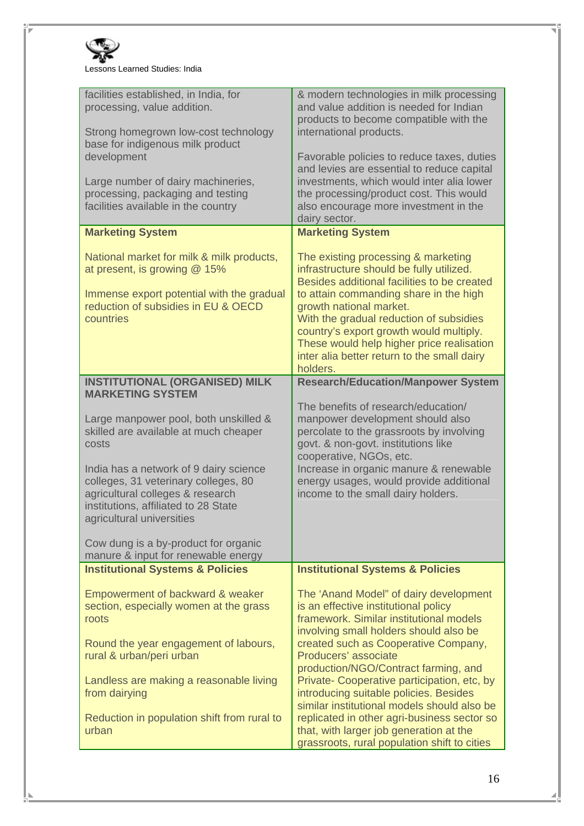

| facilities established, in India, for<br>processing, value addition.<br>Strong homegrown low-cost technology<br>base for indigenous milk product<br>development<br>Large number of dairy machineries,<br>processing, packaging and testing<br>facilities available in the country | & modern technologies in milk processing<br>and value addition is needed for Indian<br>products to become compatible with the<br>international products.<br>Favorable policies to reduce taxes, duties<br>and levies are essential to reduce capital<br>investments, which would inter alia lower<br>the processing/product cost. This would<br>also encourage more investment in the<br>dairy sector. |
|-----------------------------------------------------------------------------------------------------------------------------------------------------------------------------------------------------------------------------------------------------------------------------------|--------------------------------------------------------------------------------------------------------------------------------------------------------------------------------------------------------------------------------------------------------------------------------------------------------------------------------------------------------------------------------------------------------|
| <b>Marketing System</b>                                                                                                                                                                                                                                                           | <b>Marketing System</b>                                                                                                                                                                                                                                                                                                                                                                                |
| National market for milk & milk products,<br>at present, is growing @ 15%<br>Immense export potential with the gradual<br>reduction of subsidies in EU & OECD<br>countries                                                                                                        | The existing processing & marketing<br>infrastructure should be fully utilized.<br>Besides additional facilities to be created<br>to attain commanding share in the high<br>growth national market.<br>With the gradual reduction of subsidies<br>country's export growth would multiply.<br>These would help higher price realisation<br>inter alia better return to the small dairy<br>holders.      |
| <b>INSTITUTIONAL (ORGANISED) MILK</b><br><b>MARKETING SYSTEM</b>                                                                                                                                                                                                                  | <b>Research/Education/Manpower System</b>                                                                                                                                                                                                                                                                                                                                                              |
| Large manpower pool, both unskilled &<br>skilled are available at much cheaper<br>costs<br>India has a network of 9 dairy science<br>colleges, 31 veterinary colleges, 80<br>agricultural colleges & research<br>institutions, affiliated to 28 State                             | The benefits of research/education/<br>manpower development should also<br>percolate to the grassroots by involving<br>govt. & non-govt. institutions like<br>cooperative, NGOs, etc.<br>Increase in organic manure & renewable<br>energy usages, would provide additional<br>income to the small dairy holders.                                                                                       |
| agricultural universities                                                                                                                                                                                                                                                         |                                                                                                                                                                                                                                                                                                                                                                                                        |
| Cow dung is a by-product for organic<br>manure & input for renewable energy                                                                                                                                                                                                       |                                                                                                                                                                                                                                                                                                                                                                                                        |
| <b>Institutional Systems &amp; Policies</b>                                                                                                                                                                                                                                       | <b>Institutional Systems &amp; Policies</b>                                                                                                                                                                                                                                                                                                                                                            |
| Empowerment of backward & weaker<br>section, especially women at the grass<br>roots<br>Round the year engagement of labours,<br>rural & urban/peri urban                                                                                                                          | The 'Anand Model" of dairy development<br>is an effective institutional policy<br>framework. Similar institutional models<br>involving small holders should also be<br>created such as Cooperative Company,<br>Producers' associate<br>production/NGO/Contract farming, and                                                                                                                            |
| Landless are making a reasonable living<br>from dairying<br>Reduction in population shift from rural to                                                                                                                                                                           | Private- Cooperative participation, etc, by<br>introducing suitable policies. Besides<br>similar institutional models should also be<br>replicated in other agri-business sector so                                                                                                                                                                                                                    |
| urban                                                                                                                                                                                                                                                                             | that, with larger job generation at the<br>grassroots, rural population shift to cities                                                                                                                                                                                                                                                                                                                |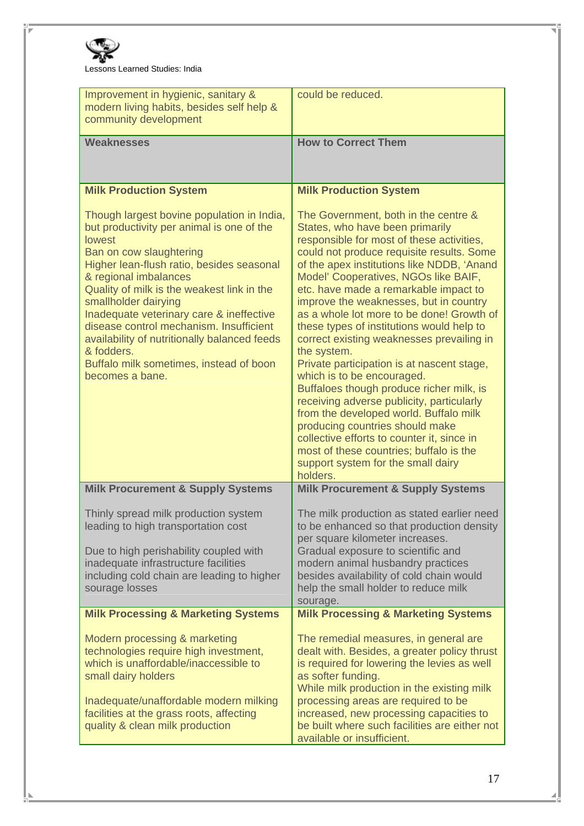

Lessons Learned Studies: India

| Improvement in hygienic, sanitary &<br>modern living habits, besides self help &<br>community development                                                                                                                                                                                                                                                                                                                                                                                                                           | could be reduced.                                                                                                                                                                                                                                                                                                                                                                                                                                                                                                                                                                                                                                                                                                                                                                                                                                                                                                  |  |
|-------------------------------------------------------------------------------------------------------------------------------------------------------------------------------------------------------------------------------------------------------------------------------------------------------------------------------------------------------------------------------------------------------------------------------------------------------------------------------------------------------------------------------------|--------------------------------------------------------------------------------------------------------------------------------------------------------------------------------------------------------------------------------------------------------------------------------------------------------------------------------------------------------------------------------------------------------------------------------------------------------------------------------------------------------------------------------------------------------------------------------------------------------------------------------------------------------------------------------------------------------------------------------------------------------------------------------------------------------------------------------------------------------------------------------------------------------------------|--|
| <b>Weaknesses</b>                                                                                                                                                                                                                                                                                                                                                                                                                                                                                                                   | <b>How to Correct Them</b>                                                                                                                                                                                                                                                                                                                                                                                                                                                                                                                                                                                                                                                                                                                                                                                                                                                                                         |  |
| <b>Milk Production System</b><br>Though largest bovine population in India,<br>but productivity per animal is one of the<br><b>lowest</b><br>Ban on cow slaughtering<br>Higher lean-flush ratio, besides seasonal<br>& regional imbalances<br>Quality of milk is the weakest link in the<br>smallholder dairying<br>Inadequate veterinary care & ineffective<br>disease control mechanism. Insufficient<br>availability of nutritionally balanced feeds<br>& fodders.<br>Buffalo milk sometimes, instead of boon<br>becomes a bane. | <b>Milk Production System</b><br>The Government, both in the centre &<br>States, who have been primarily<br>responsible for most of these activities,<br>could not produce requisite results. Some<br>of the apex institutions like NDDB, 'Anand<br>Model' Cooperatives, NGOs like BAIF,<br>etc. have made a remarkable impact to<br>improve the weaknesses, but in country<br>as a whole lot more to be done! Growth of<br>these types of institutions would help to<br>correct existing weaknesses prevailing in<br>the system.<br>Private participation is at nascent stage,<br>which is to be encouraged.<br>Buffaloes though produce richer milk, is<br>receiving adverse publicity, particularly<br>from the developed world. Buffalo milk<br>producing countries should make<br>collective efforts to counter it, since in<br>most of these countries; buffalo is the<br>support system for the small dairy |  |
| <b>Milk Procurement &amp; Supply Systems</b>                                                                                                                                                                                                                                                                                                                                                                                                                                                                                        | <b>Milk Procurement &amp; Supply Systems</b>                                                                                                                                                                                                                                                                                                                                                                                                                                                                                                                                                                                                                                                                                                                                                                                                                                                                       |  |
| Thinly spread milk production system<br>leading to high transportation cost<br>Due to high perishability coupled with<br>inadequate infrastructure facilities<br>including cold chain are leading to higher<br>sourage losses                                                                                                                                                                                                                                                                                                       | The milk production as stated earlier need<br>to be enhanced so that production density<br>per square kilometer increases.<br>Gradual exposure to scientific and<br>modern animal husbandry practices<br>besides availability of cold chain would<br>help the small holder to reduce milk<br>sourage.                                                                                                                                                                                                                                                                                                                                                                                                                                                                                                                                                                                                              |  |
| <b>Milk Processing &amp; Marketing Systems</b>                                                                                                                                                                                                                                                                                                                                                                                                                                                                                      | <b>Milk Processing &amp; Marketing Systems</b>                                                                                                                                                                                                                                                                                                                                                                                                                                                                                                                                                                                                                                                                                                                                                                                                                                                                     |  |
| Modern processing & marketing<br>technologies require high investment,<br>which is unaffordable/inaccessible to<br>small dairy holders<br>Inadequate/unaffordable modern milking<br>facilities at the grass roots, affecting<br>quality & clean milk production                                                                                                                                                                                                                                                                     | The remedial measures, in general are<br>dealt with. Besides, a greater policy thrust<br>is required for lowering the levies as well<br>as softer funding.<br>While milk production in the existing milk<br>processing areas are required to be<br>increased, new processing capacities to<br>be built where such facilities are either not<br>available or insufficient.                                                                                                                                                                                                                                                                                                                                                                                                                                                                                                                                          |  |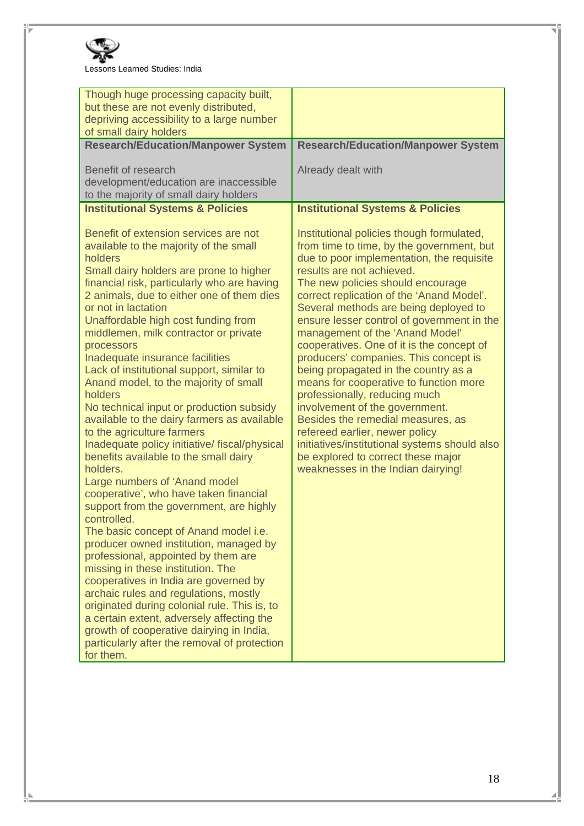

Lessons Learned Studies: India

| Though huge processing capacity built,<br>but these are not evenly distributed,<br>depriving accessibility to a large number<br>of small dairy holders                                                                                                                                                                                                                                                                                                                                                                                                                                                                                                                                                                                                                                                                                                                                                                                                                                                                                                                                                                                                                                                                                                                                                                |                                                                                                                                                                                                                                                                                                                                                                                                                                                                                                                                                                                                                                                                                                                                                                                                                             |
|-----------------------------------------------------------------------------------------------------------------------------------------------------------------------------------------------------------------------------------------------------------------------------------------------------------------------------------------------------------------------------------------------------------------------------------------------------------------------------------------------------------------------------------------------------------------------------------------------------------------------------------------------------------------------------------------------------------------------------------------------------------------------------------------------------------------------------------------------------------------------------------------------------------------------------------------------------------------------------------------------------------------------------------------------------------------------------------------------------------------------------------------------------------------------------------------------------------------------------------------------------------------------------------------------------------------------|-----------------------------------------------------------------------------------------------------------------------------------------------------------------------------------------------------------------------------------------------------------------------------------------------------------------------------------------------------------------------------------------------------------------------------------------------------------------------------------------------------------------------------------------------------------------------------------------------------------------------------------------------------------------------------------------------------------------------------------------------------------------------------------------------------------------------------|
| <b>Research/Education/Manpower System</b>                                                                                                                                                                                                                                                                                                                                                                                                                                                                                                                                                                                                                                                                                                                                                                                                                                                                                                                                                                                                                                                                                                                                                                                                                                                                             | <b>Research/Education/Manpower System</b>                                                                                                                                                                                                                                                                                                                                                                                                                                                                                                                                                                                                                                                                                                                                                                                   |
| Benefit of research<br>development/education are inaccessible<br>to the majority of small dairy holders                                                                                                                                                                                                                                                                                                                                                                                                                                                                                                                                                                                                                                                                                                                                                                                                                                                                                                                                                                                                                                                                                                                                                                                                               | Already dealt with                                                                                                                                                                                                                                                                                                                                                                                                                                                                                                                                                                                                                                                                                                                                                                                                          |
| <b>Institutional Systems &amp; Policies</b>                                                                                                                                                                                                                                                                                                                                                                                                                                                                                                                                                                                                                                                                                                                                                                                                                                                                                                                                                                                                                                                                                                                                                                                                                                                                           | <b>Institutional Systems &amp; Policies</b>                                                                                                                                                                                                                                                                                                                                                                                                                                                                                                                                                                                                                                                                                                                                                                                 |
| Benefit of extension services are not<br>available to the majority of the small<br>holders<br>Small dairy holders are prone to higher<br>financial risk, particularly who are having<br>2 animals, due to either one of them dies<br>or not in lactation<br>Unaffordable high cost funding from<br>middlemen, milk contractor or private<br>processors<br>Inadequate insurance facilities<br>Lack of institutional support, similar to<br>Anand model, to the majority of small<br>holders<br>No technical input or production subsidy<br>available to the dairy farmers as available<br>to the agriculture farmers<br>Inadequate policy initiative/ fiscal/physical<br>benefits available to the small dairy<br>holders.<br>Large numbers of 'Anand model<br>cooperative', who have taken financial<br>support from the government, are highly<br>controlled.<br>The basic concept of Anand model i.e.<br>producer owned institution, managed by<br>professional, appointed by them are<br>missing in these institution. The<br>cooperatives in India are governed by<br>archaic rules and regulations, mostly<br>originated during colonial rule. This is, to<br>a certain extent, adversely affecting the<br>growth of cooperative dairying in India,<br>particularly after the removal of protection<br>for them. | Institutional policies though formulated,<br>from time to time, by the government, but<br>due to poor implementation, the requisite<br>results are not achieved.<br>The new policies should encourage<br>correct replication of the 'Anand Model'.<br>Several methods are being deployed to<br>ensure lesser control of government in the<br>management of the 'Anand Model'<br>cooperatives. One of it is the concept of<br>producers' companies. This concept is<br>being propagated in the country as a<br>means for cooperative to function more<br>professionally, reducing much<br>involvement of the government.<br>Besides the remedial measures, as<br>refereed earlier, newer policy<br>initiatives/institutional systems should also<br>be explored to correct these major<br>weaknesses in the Indian dairying! |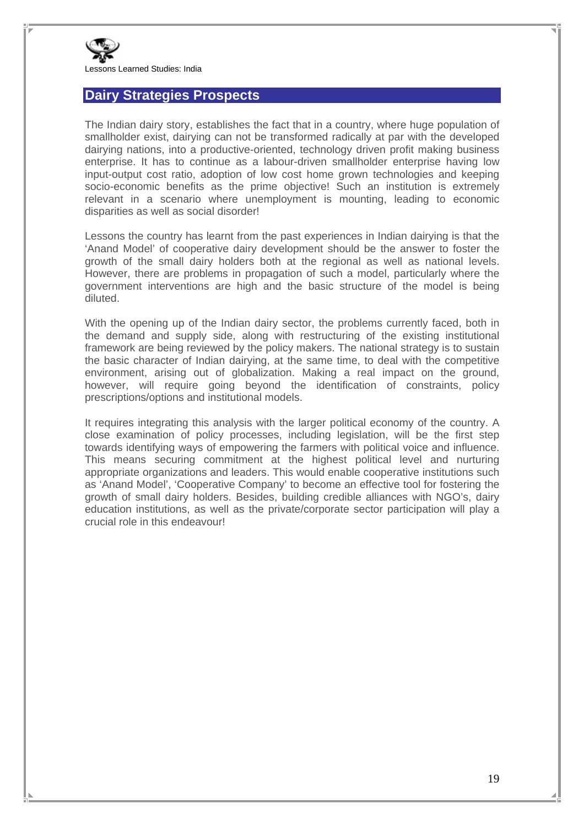

#### **Dairy Strategies Prospects**

The Indian dairy story, establishes the fact that in a country, where huge population of smallholder exist, dairying can not be transformed radically at par with the developed dairying nations, into a productive-oriented, technology driven profit making business enterprise. It has to continue as a labour-driven smallholder enterprise having low input-output cost ratio, adoption of low cost home grown technologies and keeping socio-economic benefits as the prime objective! Such an institution is extremely relevant in a scenario where unemployment is mounting, leading to economic disparities as well as social disorder!

Lessons the country has learnt from the past experiences in Indian dairying is that the 'Anand Model' of cooperative dairy development should be the answer to foster the growth of the small dairy holders both at the regional as well as national levels. However, there are problems in propagation of such a model, particularly where the government interventions are high and the basic structure of the model is being diluted.

With the opening up of the Indian dairy sector, the problems currently faced, both in the demand and supply side, along with restructuring of the existing institutional framework are being reviewed by the policy makers. The national strategy is to sustain the basic character of Indian dairying, at the same time, to deal with the competitive environment, arising out of globalization. Making a real impact on the ground, however, will require going beyond the identification of constraints, policy prescriptions/options and institutional models.

It requires integrating this analysis with the larger political economy of the country. A close examination of policy processes, including legislation, will be the first step towards identifying ways of empowering the farmers with political voice and influence. This means securing commitment at the highest political level and nurturing appropriate organizations and leaders. This would enable cooperative institutions such as 'Anand Model', 'Cooperative Company' to become an effective tool for fostering the growth of small dairy holders. Besides, building credible alliances with NGO's, dairy education institutions, as well as the private/corporate sector participation will play a crucial role in this endeavour!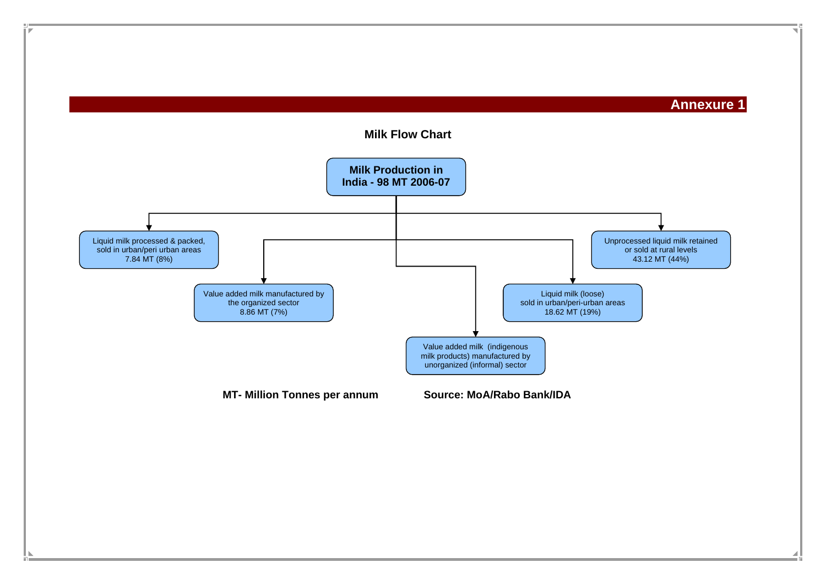**Annexure 1** 

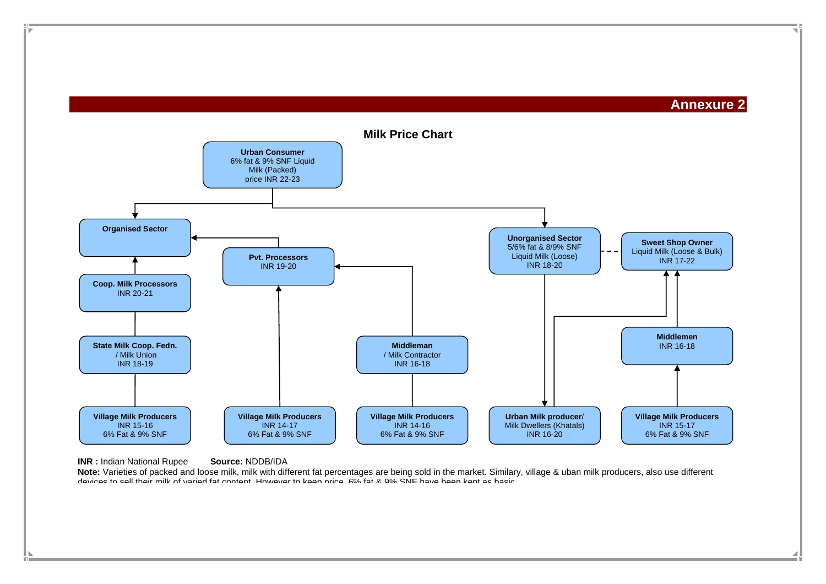**Annexure 2** 



#### **INR :** Indian National Rupee **Source:** NDDB/IDA

**Note:** Varieties of packed and loose milk, milk with different fat percentages are being sold in the market. Similary, village & uban milk producers, also use different devices to sell their milk of varied fat content However to keep price 6% fat & 9% SNF have been kept as basic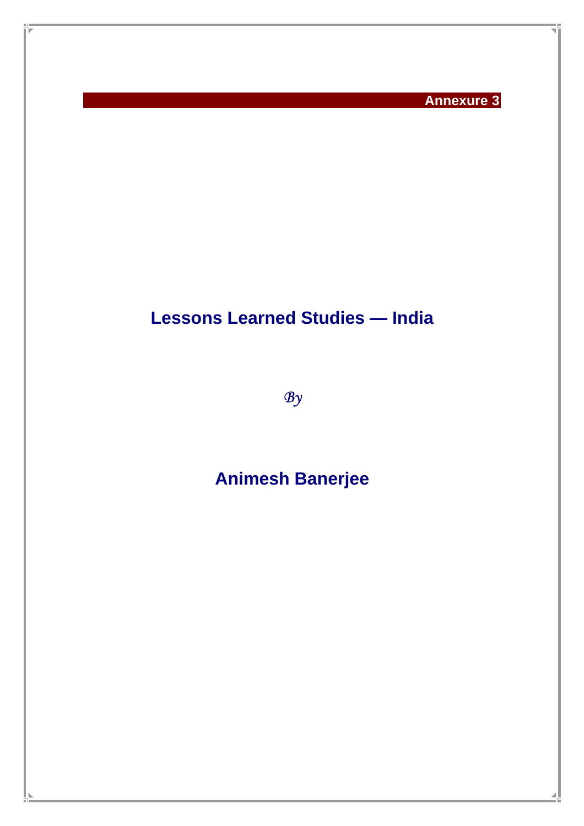**Annexure 3** 

# **Lessons Learned Studies — India**

*By*

# **Animesh Banerjee**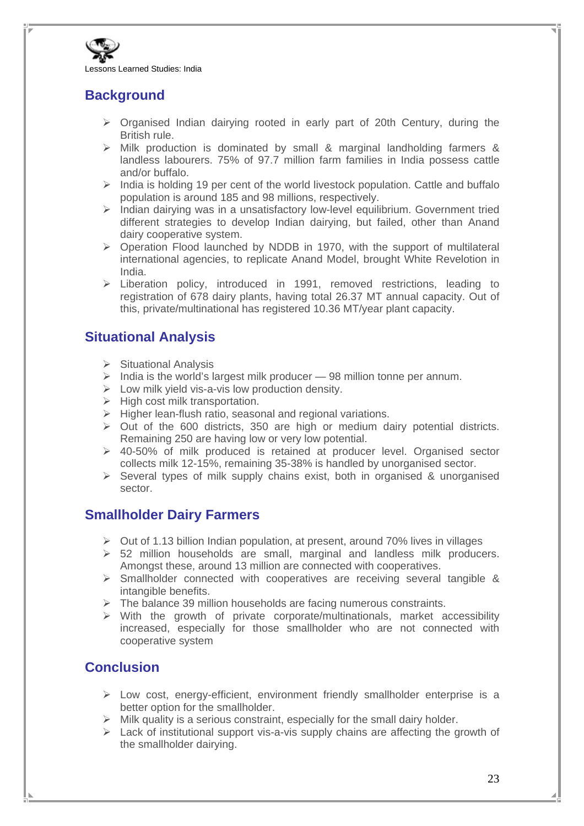

## **Background**

- $\triangleright$  Organised Indian dairying rooted in early part of 20th Century, during the British rule.
- $\triangleright$  Milk production is dominated by small & marginal landholding farmers & landless labourers. 75% of 97.7 million farm families in India possess cattle and/or buffalo.
- $\triangleright$  India is holding 19 per cent of the world livestock population. Cattle and buffalo population is around 185 and 98 millions, respectively.
- $\triangleright$  Indian dairying was in a unsatisfactory low-level equilibrium. Government tried different strategies to develop Indian dairying, but failed, other than Anand dairy cooperative system.
- $\triangleright$  Operation Flood launched by NDDB in 1970, with the support of multilateral international agencies, to replicate Anand Model, brought White Revelotion in India.
- ¾ Liberation policy, introduced in 1991, removed restrictions, leading to registration of 678 dairy plants, having total 26.37 MT annual capacity. Out of this, private/multinational has registered 10.36 MT/year plant capacity.

## **Situational Analysis**

- $\triangleright$  Situational Analysis
- $\triangleright$  India is the world's largest milk producer  $-98$  million tonne per annum.
- $\triangleright$  Low milk yield vis-a-vis low production density.
- $\triangleright$  High cost milk transportation.
- $\triangleright$  Higher lean-flush ratio, seasonal and regional variations.
- $\triangleright$  Out of the 600 districts, 350 are high or medium dairy potential districts. Remaining 250 are having low or very low potential.
- $\geq$  40-50% of milk produced is retained at producer level. Organised sector collects milk 12-15%, remaining 35-38% is handled by unorganised sector.
- $\triangleright$  Several types of milk supply chains exist, both in organised & unorganised sector.

## **Smallholder Dairy Farmers**

- $\triangleright$  Out of 1.13 billion Indian population, at present, around 70% lives in villages
- $\geq$  52 million households are small, marginal and landless milk producers. Amongst these, around 13 million are connected with cooperatives.
- $\triangleright$  Smallholder connected with cooperatives are receiving several tangible & intangible benefits.
- $\triangleright$  The balance 39 million households are facing numerous constraints.
- $\triangleright$  With the growth of private corporate/multinationals, market accessibility increased, especially for those smallholder who are not connected with cooperative system

## **Conclusion**

- $\triangleright$  Low cost, energy-efficient, environment friendly smallholder enterprise is a better option for the smallholder.
- $\triangleright$  Milk quality is a serious constraint, especially for the small dairy holder.
- $\geq$  Lack of institutional support vis-a-vis supply chains are affecting the growth of the smallholder dairying.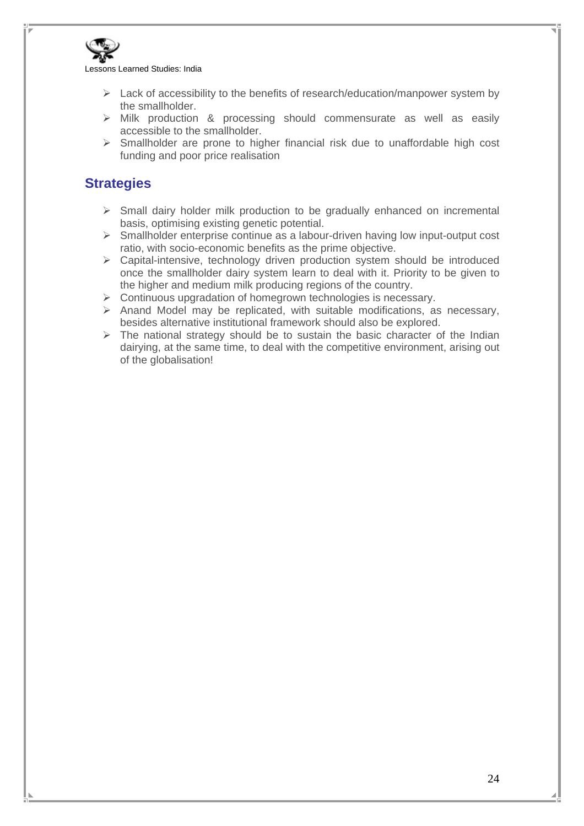

- $\triangleright$  Lack of accessibility to the benefits of research/education/manpower system by the smallholder.
- $\triangleright$  Milk production & processing should commensurate as well as easily accessible to the smallholder.
- $\triangleright$  Smallholder are prone to higher financial risk due to unaffordable high cost funding and poor price realisation

## **Strategies**

- $\triangleright$  Small dairy holder milk production to be gradually enhanced on incremental basis, optimising existing genetic potential.
- $\triangleright$  Smallholder enterprise continue as a labour-driven having low input-output cost ratio, with socio-economic benefits as the prime objective.
- $\triangleright$  Capital-intensive, technology driven production system should be introduced once the smallholder dairy system learn to deal with it. Priority to be given to the higher and medium milk producing regions of the country.
- $\triangleright$  Continuous upgradation of homegrown technologies is necessary.
- $\triangleright$  Anand Model may be replicated, with suitable modifications, as necessary, besides alternative institutional framework should also be explored.
- $\triangleright$  The national strategy should be to sustain the basic character of the Indian dairying, at the same time, to deal with the competitive environment, arising out of the globalisation!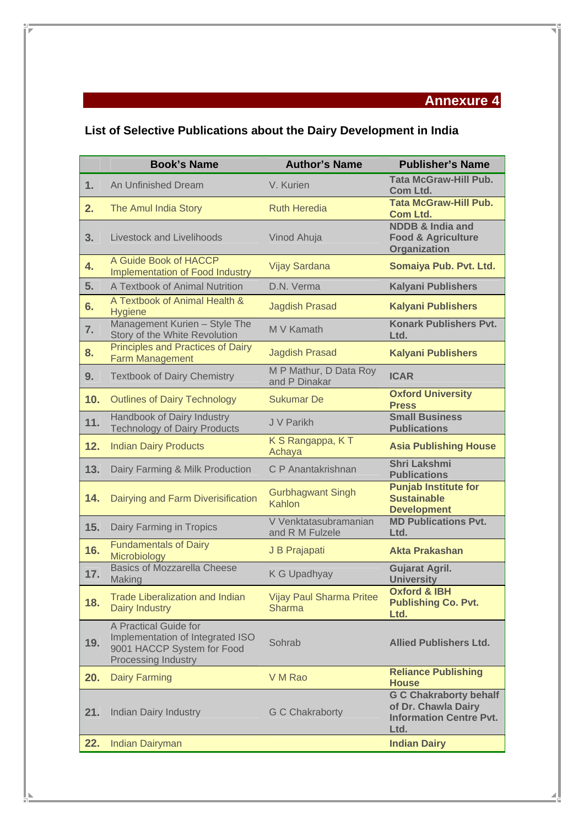## **Annexure 4**

## **List of Selective Publications about the Dairy Development in India**

|     | <b>Book's Name</b>                                                                                                    | <b>Author's Name</b>                             | <b>Publisher's Name</b>                                                                        |
|-----|-----------------------------------------------------------------------------------------------------------------------|--------------------------------------------------|------------------------------------------------------------------------------------------------|
| 1.  | An Unfinished Dream                                                                                                   | V. Kurien                                        | <b>Tata McGraw-Hill Pub.</b><br>Com Ltd.                                                       |
| 2.  | The Amul India Story                                                                                                  | <b>Ruth Heredia</b>                              | <b>Tata McGraw-Hill Pub.</b><br><b>Com Ltd.</b>                                                |
| 3.  | <b>Livestock and Livelihoods</b>                                                                                      | Vinod Ahuja                                      | <b>NDDB &amp; India and</b><br><b>Food &amp; Agriculture</b><br>Organization                   |
| 4.  | A Guide Book of HACCP<br><b>Implementation of Food Industry</b>                                                       | Vijay Sardana                                    | Somaiya Pub. Pvt. Ltd.                                                                         |
| 5.  | A Textbook of Animal Nutrition                                                                                        | D.N. Verma                                       | <b>Kalyani Publishers</b>                                                                      |
| 6.  | A Textbook of Animal Health &<br><b>Hygiene</b>                                                                       | <b>Jagdish Prasad</b>                            | <b>Kalyani Publishers</b>                                                                      |
| 7.  | Management Kurien - Style The<br>Story of the White Revolution                                                        | M V Kamath                                       | <b>Konark Publishers Pvt.</b><br>Ltd.                                                          |
| 8.  | <b>Principles and Practices of Dairy</b><br><b>Farm Management</b>                                                    | <b>Jagdish Prasad</b>                            | <b>Kalyani Publishers</b>                                                                      |
| 9.  | <b>Textbook of Dairy Chemistry</b>                                                                                    | M P Mathur, D Data Roy<br>and P Dinakar          | <b>ICAR</b>                                                                                    |
| 10. | <b>Outlines of Dairy Technology</b>                                                                                   | <b>Sukumar De</b>                                | <b>Oxford University</b><br><b>Press</b>                                                       |
| 11. | Handbook of Dairy Industry<br><b>Technology of Dairy Products</b>                                                     | J V Parikh                                       | <b>Small Business</b><br><b>Publications</b>                                                   |
| 12. | <b>Indian Dairy Products</b>                                                                                          | K S Rangappa, K T<br>Achaya                      | <b>Asia Publishing House</b>                                                                   |
| 13. | Dairy Farming & Milk Production                                                                                       | C P Anantakrishnan                               | <b>Shri Lakshmi</b><br><b>Publications</b>                                                     |
| 14. | Dairying and Farm Diverisification                                                                                    | <b>Gurbhagwant Singh</b><br>Kahlon               | <b>Punjab Institute for</b><br><b>Sustainable</b><br><b>Development</b>                        |
| 15. | Dairy Farming in Tropics                                                                                              | V Venktatasubramanian<br>and R M Fulzele         | <b>MD Publications Pvt.</b><br>Ltd.                                                            |
| 16. | <b>Fundamentals of Dairy</b><br>Microbiology                                                                          | J B Prajapati                                    | <b>Akta Prakashan</b>                                                                          |
| 17. | <b>Basics of Mozzarella Cheese</b><br>Making                                                                          | K G Upadhyay                                     | <b>Gujarat Agril.</b><br><b>University</b>                                                     |
| 18. | <b>Trade Liberalization and Indian</b><br>Dairy Industry                                                              | <b>Vijay Paul Sharma Pritee</b><br><b>Sharma</b> | <b>Oxford &amp; IBH</b><br><b>Publishing Co. Pvt.</b><br>Ltd.                                  |
| 19. | A Practical Guide for<br>Implementation of Integrated ISO<br>9001 HACCP System for Food<br><b>Processing Industry</b> | Sohrab                                           | <b>Allied Publishers Ltd.</b>                                                                  |
| 20. | <b>Dairy Farming</b>                                                                                                  | V M Rao                                          | <b>Reliance Publishing</b><br><b>House</b>                                                     |
| 21. | <b>Indian Dairy Industry</b>                                                                                          | <b>G C Chakraborty</b>                           | <b>G C Chakraborty behalf</b><br>of Dr. Chawla Dairy<br><b>Information Centre Pvt.</b><br>Ltd. |
| 22. | <b>Indian Dairyman</b>                                                                                                |                                                  | <b>Indian Dairy</b>                                                                            |